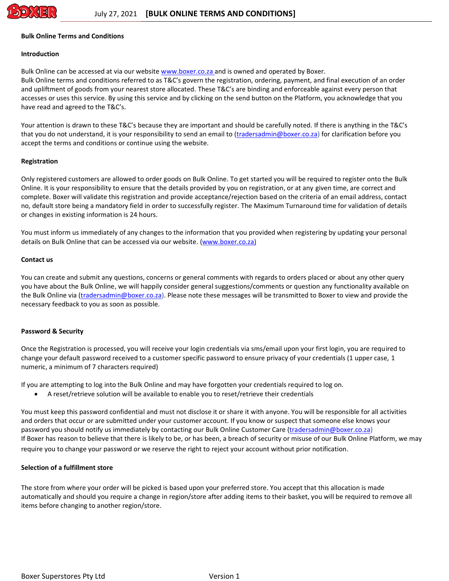

### **Bulk Online Terms and Conditions**

### **Introduction**

Bulk Online can be accessed at via our website [www.boxer.co.za](http://www.boxer.co.za/) and is owned and operated by Boxer. Bulk Online terms and conditions referred to as T&C's govern the registration, ordering, payment, and final execution of an order and upliftment of goods from your nearest store allocated. These T&C's are binding and enforceable against every person that accesses or uses this service. By using this service and by clicking on the send button on the Platform, you acknowledge that you have read and agreed to the T&C's.

Your attention is drawn to these T&C's because they are important and should be carefully noted. If there is anything in the T&C's that you do not understand, it is your responsibility to send an email to [\(tradersadmin@boxer.co.za\)](mailto:tradersadmin@boxer.co.za) for clarification before you accept the terms and conditions or continue using the website.

### **Registration**

Only registered customers are allowed to order goods on Bulk Online. To get started you will be required to register onto the Bulk Online. It is your responsibility to ensure that the details provided by you on registration, or at any given time, are correct and complete. Boxer will validate this registration and provide acceptance/rejection based on the criteria of an email address, contact no, default store being a mandatory field in order to successfully register. The Maximum Turnaround time for validation of details or changes in existing information is 24 hours.

You must inform us immediately of any changes to the information that you provided when registering by updating your personal details on Bulk Online that can be accessed via our website. [\(www.boxer.co.za\)](http://www.boxer.co.za/)

#### **Contact us**

You can create and submit any questions, concerns or general comments with regards to orders placed or about any other query you have about the Bulk Online, we will happily consider general suggestions/comments or question any functionality available on the Bulk Online via [\(tradersadmin@boxer.co.za\)](mailto:tradersadmin@boxer.co.za). Please note these messages will be transmitted to Boxer to view and provide the necessary feedback to you as soon as possible.

### **Password & Security**

Once the Registration is processed, you will receive your login credentials via sms/email upon your first login, you are required to change your default password received to a customer specific password to ensure privacy of your credentials (1 upper case, 1 numeric, a minimum of 7 characters required)

If you are attempting to log into the Bulk Online and may have forgotten your credentials required to log on.

A reset/retrieve solution will be available to enable you to reset/retrieve their credentials

You must keep this password confidential and must not disclose it or share it with anyone. You will be responsible for all activities and orders that occur or are submitted under your customer account. If you know or suspect that someone else knows your password you should notify us immediately by contacting our Bulk Online Customer Care [\(tradersadmin@boxer.co.za\)](mailto:tradersadmin@boxer.co.za) If Boxer has reason to believe that there is likely to be, or has been, a breach of security or misuse of our Bulk Online Platform, we may require you to change your password or we reserve the right to reject your account without prior notification.

## **Selection of a fulfillment store**

The store from where your order will be picked is based upon your preferred store. You accept that this allocation is made automatically and should you require a change in region/store after adding items to their basket, you will be required to remove all items before changing to another region/store.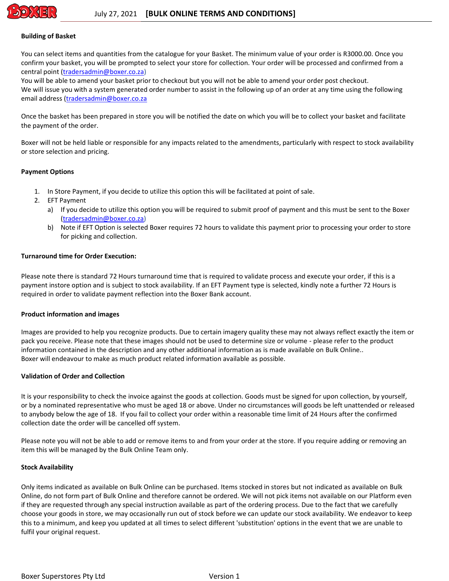

### **Building of Basket**

You can select items and quantities from the catalogue for your Basket. The minimum value of your order is R3000.00. Once you confirm your basket, you will be prompted to select your store for collection. Your order will be processed and confirmed from a central point [\(tradersadmin@boxer.co.za\)](mailto:tradersadmin@boxer.co.za)

You will be able to amend your basket prior to checkout but you will not be able to amend your order post checkout. We will issue you with a system generated order number to assist in the following up of an order at any time using the following email address [\(tradersadmin@boxer.co.za](mailto:tradersadmin@boxer.co.za)

Once the basket has been prepared in store you will be notified the date on which you will be to collect your basket and facilitate the payment of the order.

Boxer will not be held liable or responsible for any impacts related to the amendments, particularly with respect to stock availability or store selection and pricing.

## **Payment Options**

- 1. In Store Payment, if you decide to utilize this option this will be facilitated at point of sale.
- 2. EFT Payment
	- a) If you decide to utilize this option you will be required to submit proof of payment and this must be sent to the Boxer [\(tradersadmin@boxer.co.za\)](mailto:tradersadmin@boxer.co.za)
	- b) Note if EFT Option is selected Boxer requires 72 hours to validate this payment prior to processing your order to store for picking and collection.

### **Turnaround time for Order Execution:**

Please note there is standard 72 Hours turnaround time that is required to validate process and execute your order, if this is a payment instore option and is subject to stock availability. If an EFT Payment type is selected, kindly note a further 72 Hours is required in order to validate payment reflection into the Boxer Bank account.

### **Product information and images**

Images are provided to help you recognize products. Due to certain imagery quality these may not always reflect exactly the item or pack you receive. Please note that these images should not be used to determine size or volume - please refer to the product information contained in the description and any other additional information as is made available on Bulk Online.. Boxer will endeavour to make as much product related information available as possible.

## **Validation of Order and Collection**

It is your responsibility to check the invoice against the goods at collection. Goods must be signed for upon collection, by yourself, or by a nominated representative who must be aged 18 or above. Under no circumstances will goods be left unattended or released to anybody below the age of 18. If you fail to collect your order within a reasonable time limit of 24 Hours after the confirmed collection date the order will be cancelled off system.

Please note you will not be able to add or remove items to and from your order at the store. If you require adding or removing an item this will be managed by the Bulk Online Team only.

### **Stock Availability**

Only items indicated as available on Bulk Online can be purchased. Items stocked in stores but not indicated as available on Bulk Online, do not form part of Bulk Online and therefore cannot be ordered. We will not pick items not available on our Platform even if they are requested through any special instruction available as part of the ordering process. Due to the fact that we carefully choose your goods in store, we may occasionally run out of stock before we can update our stock availability. We endeavor to keep this to a minimum, and keep you updated at all times to select different 'substitution' options in the event that we are unable to fulfil your original request.